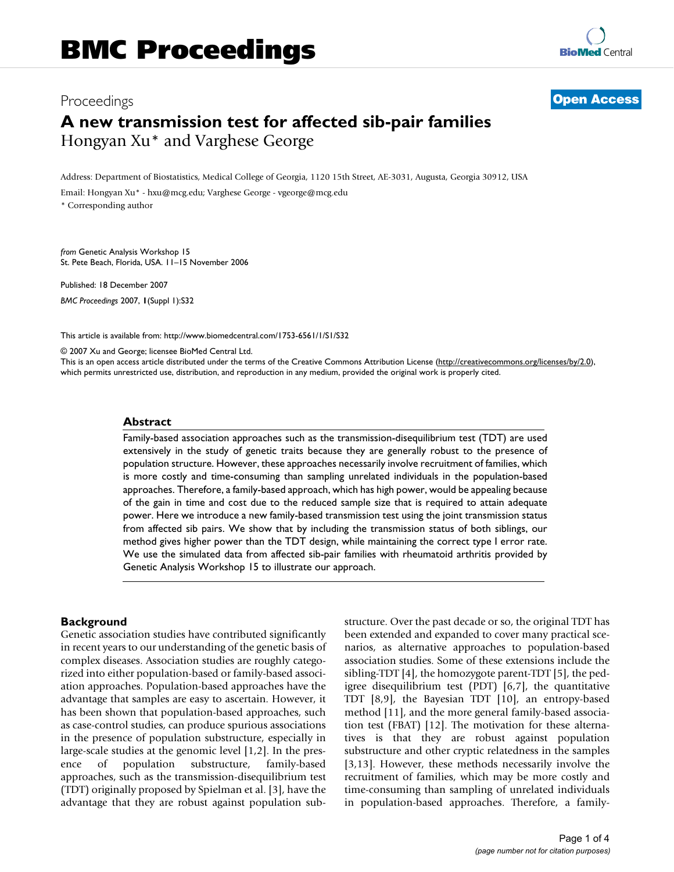# Proceedings **[Open Access](http://www.biomedcentral.com/info/about/charter/) A new transmission test for affected sib-pair families** Hongyan Xu\* and Varghese George

Address: Department of Biostatistics, Medical College of Georgia, 1120 15th Street, AE-3031, Augusta, Georgia 30912, USA

Email: Hongyan Xu\* - hxu@mcg.edu; Varghese George - vgeorge@mcg.edu

\* Corresponding author

*from* Genetic Analysis Workshop 15 St. Pete Beach, Florida, USA. 11–15 November 2006

Published: 18 December 2007

*BMC Proceedings* 2007, **1**(Suppl 1):S32

[This article is available from: http://www.biomedcentral.com/1753-6561/1/S1/S32](http://www.biomedcentral.com/1753-6561/1/S1/S32)

© 2007 Xu and George; licensee BioMed Central Ltd.

This is an open access article distributed under the terms of the Creative Commons Attribution License [\(http://creativecommons.org/licenses/by/2.0\)](http://creativecommons.org/licenses/by/2.0), which permits unrestricted use, distribution, and reproduction in any medium, provided the original work is properly cited.

# **Abstract**

Family-based association approaches such as the transmission-disequilibrium test (TDT) are used extensively in the study of genetic traits because they are generally robust to the presence of population structure. However, these approaches necessarily involve recruitment of families, which is more costly and time-consuming than sampling unrelated individuals in the population-based approaches. Therefore, a family-based approach, which has high power, would be appealing because of the gain in time and cost due to the reduced sample size that is required to attain adequate power. Here we introduce a new family-based transmission test using the joint transmission status from affected sib pairs. We show that by including the transmission status of both siblings, our method gives higher power than the TDT design, while maintaining the correct type I error rate. We use the simulated data from affected sib-pair families with rheumatoid arthritis provided by Genetic Analysis Workshop 15 to illustrate our approach.

# **Background**

Genetic association studies have contributed significantly in recent years to our understanding of the genetic basis of complex diseases. Association studies are roughly categorized into either population-based or family-based association approaches. Population-based approaches have the advantage that samples are easy to ascertain. However, it has been shown that population-based approaches, such as case-control studies, can produce spurious associations in the presence of population substructure, especially in large-scale studies at the genomic level [1,2]. In the presence of population substructure, family-based approaches, such as the transmission-disequilibrium test (TDT) originally proposed by Spielman et al. [3], have the advantage that they are robust against population substructure. Over the past decade or so, the original TDT has been extended and expanded to cover many practical scenarios, as alternative approaches to population-based association studies. Some of these extensions include the sibling-TDT [4], the homozygote parent-TDT [5], the pedigree disequilibrium test (PDT) [6,7], the quantitative TDT [8,9], the Bayesian TDT [10], an entropy-based method [11], and the more general family-based association test (FBAT) [12]. The motivation for these alternatives is that they are robust against population substructure and other cryptic relatedness in the samples [3,13]. However, these methods necessarily involve the recruitment of families, which may be more costly and time-consuming than sampling of unrelated individuals in population-based approaches. Therefore, a family-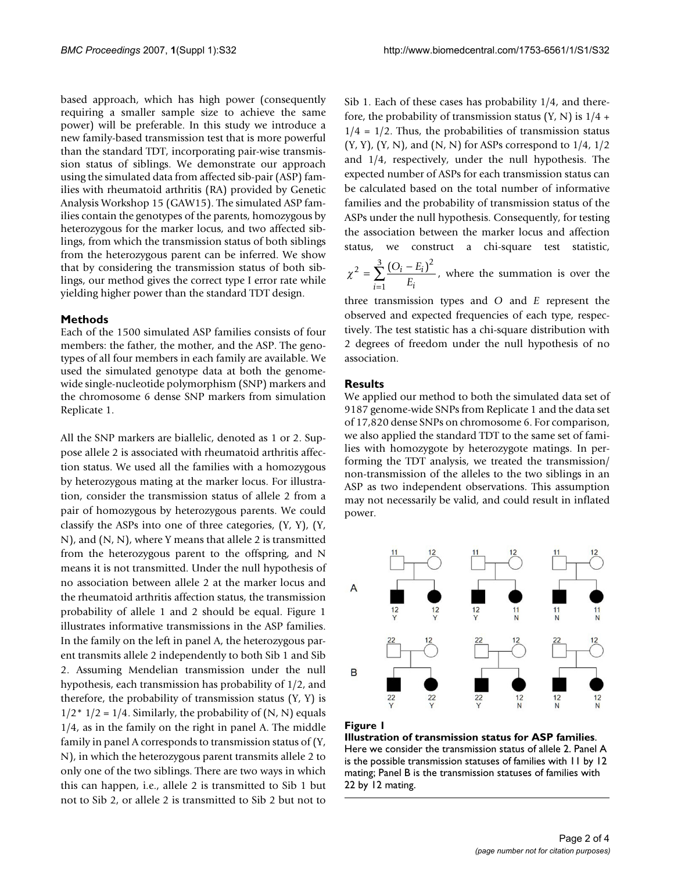based approach, which has high power (consequently requiring a smaller sample size to achieve the same power) will be preferable. In this study we introduce a new family-based transmission test that is more powerful than the standard TDT, incorporating pair-wise transmission status of siblings. We demonstrate our approach using the simulated data from affected sib-pair (ASP) families with rheumatoid arthritis (RA) provided by Genetic Analysis Workshop 15 (GAW15). The simulated ASP families contain the genotypes of the parents, homozygous by heterozygous for the marker locus, and two affected siblings, from which the transmission status of both siblings from the heterozygous parent can be inferred. We show that by considering the transmission status of both siblings, our method gives the correct type I error rate while yielding higher power than the standard TDT design.

#### **Methods**

Each of the 1500 simulated ASP families consists of four members: the father, the mother, and the ASP. The genotypes of all four members in each family are available. We used the simulated genotype data at both the genomewide single-nucleotide polymorphism (SNP) markers and the chromosome 6 dense SNP markers from simulation Replicate 1.

All the SNP markers are biallelic, denoted as 1 or 2. Suppose allele 2 is associated with rheumatoid arthritis affection status. We used all the families with a homozygous by heterozygous mating at the marker locus. For illustration, consider the transmission status of allele 2 from a pair of homozygous by heterozygous parents. We could classify the ASPs into one of three categories, (Y, Y), (Y, N), and (N, N), where Y means that allele 2 is transmitted from the heterozygous parent to the offspring, and N means it is not transmitted. Under the null hypothesis of no association between allele 2 at the marker locus and the rheumatoid arthritis affection status, the transmission probability of allele 1 and 2 should be equal. Figure 1 illustrates informative transmissions in the ASP families. In the family on the left in panel A, the heterozygous parent transmits allele 2 independently to both Sib 1 and Sib 2. Assuming Mendelian transmission under the null hypothesis, each transmission has probability of 1/2, and therefore, the probability of transmission status  $(Y, Y)$  is  $1/2$ <sup>\*</sup>  $1/2 = 1/4$ . Similarly, the probability of (N, N) equals 1/4, as in the family on the right in panel A. The middle family in panel A corresponds to transmission status of (Y, N), in which the heterozygous parent transmits allele 2 to only one of the two siblings. There are two ways in which this can happen, i.e., allele 2 is transmitted to Sib 1 but not to Sib 2, or allele 2 is transmitted to Sib 2 but not to

Sib 1. Each of these cases has probability 1/4, and therefore, the probability of transmission status  $(Y, N)$  is  $1/4 +$  $1/4 = 1/2$ . Thus, the probabilities of transmission status  $(Y, Y)$ ,  $(Y, N)$ , and  $(N, N)$  for ASPs correspond to  $1/4$ ,  $1/2$ and 1/4, respectively, under the null hypothesis. The expected number of ASPs for each transmission status can be calculated based on the total number of informative families and the probability of transmission status of the ASPs under the null hypothesis. Consequently, for testing the association between the marker locus and affection status, we construct a chi-square test statistic,

 $\chi^2 = \sum_{i=1}^{3} \frac{(O_i - E_i)^2}{n}$ , where the summation is over the 1  $=\sum_{i=1}^{3}\frac{(O_i - )}{\sigma_i}$  $\sum_{i=1}^{3} \frac{(O_i - E_i)}{E_i}$  $i - E_i$  $i=1$   $E_i$ 

three transmission types and *O* and *E* represent the observed and expected frequencies of each type, respectively. The test statistic has a chi-square distribution with 2 degrees of freedom under the null hypothesis of no association.

#### **Results**

We applied our method to both the simulated data set of 9187 genome-wide SNPs from Replicate 1 and the data set of 17,820 dense SNPs on chromosome 6. For comparison, we also applied the standard TDT to the same set of families with homozygote by heterozygote matings. In performing the TDT analysis, we treated the transmission/ non-transmission of the alleles to the two siblings in an ASP as two independent observations. This assumption may not necessarily be valid, and could result in inflated power.



# **Figure 1**

**Illustration of transmission status for ASP families**. Here we consider the transmission status of allele 2. Panel A is the possible transmission statuses of families with 11 by 12 mating; Panel B is the transmission statuses of families with 22 by 12 mating.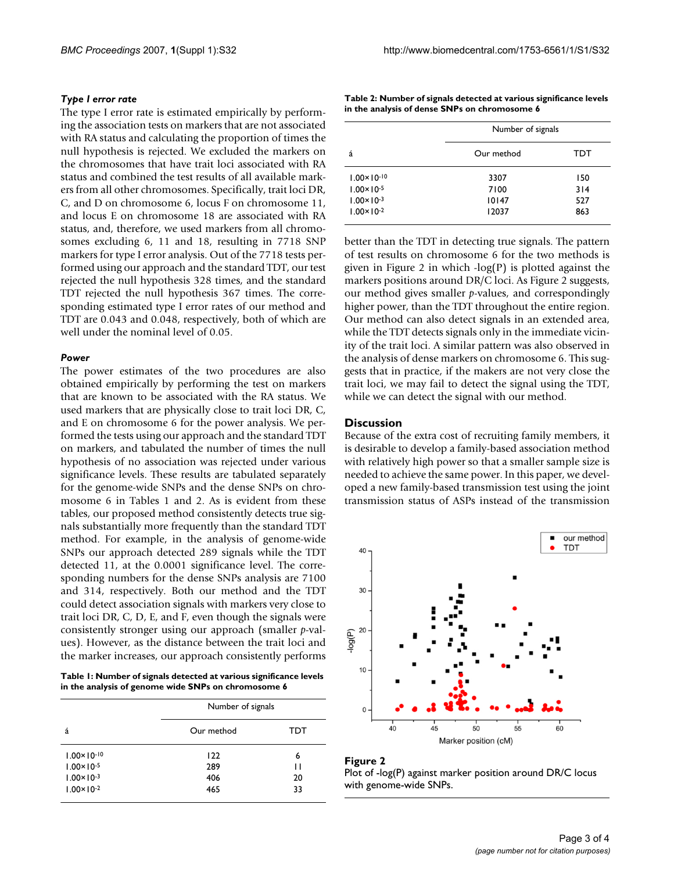#### *Type I error rate*

The type I error rate is estimated empirically by performing the association tests on markers that are not associated with RA status and calculating the proportion of times the null hypothesis is rejected. We excluded the markers on the chromosomes that have trait loci associated with RA status and combined the test results of all available markers from all other chromosomes. Specifically, trait loci DR, C, and D on chromosome 6, locus F on chromosome 11, and locus E on chromosome 18 are associated with RA status, and, therefore, we used markers from all chromosomes excluding 6, 11 and 18, resulting in 7718 SNP markers for type I error analysis. Out of the 7718 tests performed using our approach and the standard TDT, our test rejected the null hypothesis 328 times, and the standard TDT rejected the null hypothesis 367 times. The corresponding estimated type I error rates of our method and TDT are 0.043 and 0.048, respectively, both of which are well under the nominal level of 0.05.

#### *Power*

The power estimates of the two procedures are also obtained empirically by performing the test on markers that are known to be associated with the RA status. We used markers that are physically close to trait loci DR, C, and E on chromosome 6 for the power analysis. We performed the tests using our approach and the standard TDT on markers, and tabulated the number of times the null hypothesis of no association was rejected under various significance levels. These results are tabulated separately for the genome-wide SNPs and the dense SNPs on chromosome 6 in Tables 1 and 2. As is evident from these tables, our proposed method consistently detects true signals substantially more frequently than the standard TDT method. For example, in the analysis of genome-wide SNPs our approach detected 289 signals while the TDT detected 11, at the 0.0001 significance level. The corresponding numbers for the dense SNPs analysis are 7100 and 314, respectively. Both our method and the TDT could detect association signals with markers very close to trait loci DR, C, D, E, and F, even though the signals were consistently stronger using our approach (smaller *p*-values). However, as the distance between the trait loci and the marker increases, our approach consistently performs

**Table 1: Number of signals detected at various significance levels in the analysis of genome wide SNPs on chromosome 6**

| á                      | Number of signals |     |
|------------------------|-------------------|-----|
|                        | Our method        | тот |
| $1.00 \times 10^{-10}$ | 122               | 6   |
| $1.00 \times 10^{-5}$  | 289               | Н   |
| $1.00 \times 10^{-3}$  | 406               | 20  |
| $1.00 \times 10^{-2}$  | 465               | 33  |

**Table 2: Number of signals detected at various significance levels in the analysis of dense SNPs on chromosome 6**

| á                      | Number of signals |     |
|------------------------|-------------------|-----|
|                        | Our method        | TDT |
| $1.00 \times 10^{-10}$ | 3307              | 150 |
| $1.00 \times 10^{-5}$  | 7100              | 314 |
| $1.00 \times 10^{-3}$  | 10147             | 527 |
| $1.00 \times 10^{-2}$  | 12037             | 863 |

better than the TDT in detecting true signals. The pattern of test results on chromosome 6 for the two methods is given in Figure 2 in which -log(P) is plotted against the markers positions around DR/C loci. As Figure 2 suggests, our method gives smaller *p*-values, and correspondingly higher power, than the TDT throughout the entire region. Our method can also detect signals in an extended area, while the TDT detects signals only in the immediate vicinity of the trait loci. A similar pattern was also observed in the analysis of dense markers on chromosome 6. This suggests that in practice, if the makers are not very close the trait loci, we may fail to detect the signal using the TDT, while we can detect the signal with our method.

#### **Discussion**

Because of the extra cost of recruiting family members, it is desirable to develop a family-based association method with relatively high power so that a smaller sample size is needed to achieve the same power. In this paper, we developed a new family-based transmission test using the joint transmission status of ASPs instead of the transmission